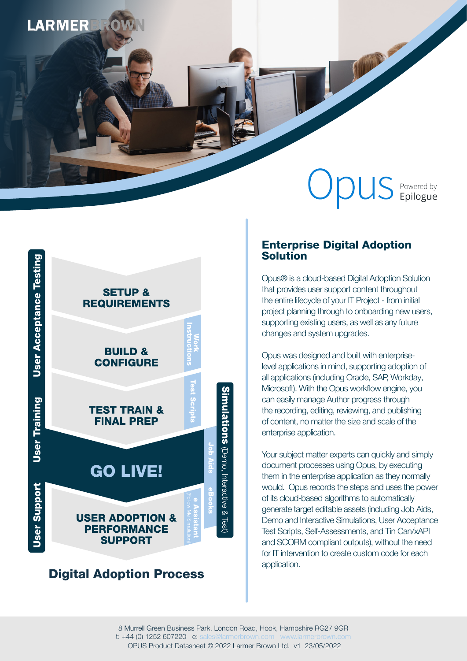# **LARMER**

## $\bigcup$  $\bigcirc$  US Powered by

THEM



## Digital Adoption Process

## Enterprise Digital Adoption Solution

Opus® is a cloud-based Digital Adoption Solution that provides user support content throughout the entire lifecycle of your IT Project - from initial project planning through to onboarding new users, supporting existing users, as well as any future changes and system upgrades.

Opus was designed and built with enterpriselevel applications in mind, supporting adoption of all applications (including Oracle, SAP, Workday, Microsoft). With the Opus workflow engine, you can easily manage Author progress through the recording, editing, reviewing, and publishing of content, no matter the size and scale of the enterprise application.

Your subject matter experts can quickly and simply document processes using Opus, by executing them in the enterprise application as they normally would. Opus records the steps and uses the power of its cloud-based algorithms to automatically generate target editable assets (including Job Aids, Demo and Interactive Simulations, User Acceptance Test Scripts, Self-Assessments, and Tin Can/xAPI and SCORM compliant outputs), without the need for IT intervention to create custom code for each application.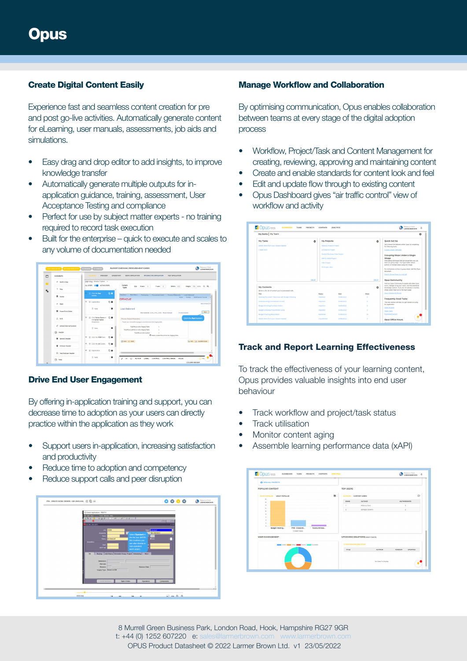## Create Digital Content Easily

Experience fast and seamless content creation for pre and post go-live activities. Automatically generate content for eLearning, user manuals, assessments, job aids and simulations.

- Easy drag and drop editor to add insights, to improve knowledge transfer
- Automatically generate multiple outputs for inapplication guidance, training, assessment, User Acceptance Testing and compliance
- Perfect for use by subject matter experts no training required to record task execution
- Built for the enterprise quick to execute and scales to any volume of documentation needed



## Drive End User Engagement

By offering in-application training and support, you can decrease time to adoption as your users can directly practice within the application as they work

- Support users in-application, increasing satisfaction and productivity
- Reduce time to adoption and competency
- Reduce support calls and peer disruption



#### Manage Workflow and Collaboration

By optimising communication, Opus enables collaboration between teams at every stage of the digital adoption process

- Workflow, Project/Task and Content Management for creating, reviewing, approving and maintaining content
- Create and enable standards for content look and feel
- Edit and update flow through to existing content
- Opus Dashboard gives "air traffic control" view of workflow and activity

| My Items   My Team                                                         |                                                                     |            |                     |                                                                                                                                                                                                                                                                                                                                                                                                                                                                                                                                                  |
|----------------------------------------------------------------------------|---------------------------------------------------------------------|------------|---------------------|--------------------------------------------------------------------------------------------------------------------------------------------------------------------------------------------------------------------------------------------------------------------------------------------------------------------------------------------------------------------------------------------------------------------------------------------------------------------------------------------------------------------------------------------------|
| My Tasks                                                                   | <b>My Projects</b><br>٠                                             |            | $\mathbf{r}$        | <b>Ouick Set Up</b>                                                                                                                                                                                                                                                                                                                                                                                                                                                                                                                              |
| Delete Items from your Amazon Basket                                       | Rebecca Amazon Project                                              |            |                     | Get to know the features within Opus by completing<br>the following tasks:                                                                                                                                                                                                                                                                                                                                                                                                                                                                       |
| Create VN01                                                                | <b>ID Edwards Project</b>                                           |            |                     | Create a Team Template                                                                                                                                                                                                                                                                                                                                                                                                                                                                                                                           |
| <b>My Contents</b><br>Below is the list of content you're associated with. | SAP 54 HANA Project<br>Infor Project<br>IFS Project 2022<br>See All |            | 568.AE<br>$\Delta$  | Grouping Steps Under a Single<br>Image<br>One editing technique that can streamline your job<br>aids is to group steps. The Opus Editor allows<br>authors to multiple steps using one image.<br>For instructions on how to group steps, visit this Opus<br>document:<br>How to Group Steps in a tob Aid<br><b>Opus Community</b><br>Visit our Opes Community to speak with other Opus<br>users, manage & log your cases, and find additional<br>knowledge content. If you are not already a member.<br>simply select Sign Up on the log-in page. |
| Title                                                                      | <b>Status</b>                                                       | Date       | <b><i>Views</i></b> | <b>Court Community Portal</b>                                                                                                                                                                                                                                                                                                                                                                                                                                                                                                                    |
| Bunning Document Tolerances with Budget Checking                           | imported                                                            | 04/06/2022 | ٠                   | <b>Frequently Used Tasks</b>                                                                                                                                                                                                                                                                                                                                                                                                                                                                                                                     |
| <b>Understanding Commitment Control</b>                                    | Imported                                                            | 06/06/2022 | ö                   | This new section will help you get started on using                                                                                                                                                                                                                                                                                                                                                                                                                                                                                              |
|                                                                            | Imported                                                            | 04/06/2022 | ×                   | the application:                                                                                                                                                                                                                                                                                                                                                                                                                                                                                                                                 |
| <b>Budget Checking Purchase Orders</b>                                     |                                                                     |            |                     | <b>Croin Projects</b>                                                                                                                                                                                                                                                                                                                                                                                                                                                                                                                            |
| <b>Budget Checking Procurement Cards</b>                                   | <b>Imported</b>                                                     | 04/06/2022 | ö                   | Open Tasks                                                                                                                                                                                                                                                                                                                                                                                                                                                                                                                                       |

## Track and Report Learning Effectiveness

To track the effectiveness of your learning content, Opus provides valuable insights into end user behaviour

- Track workflow and project/task status
- **Track utilisation**
- Monitor content aging
- Assemble learning performance data (xAPI)

| <b>POPULAR CONTENT</b>                            |                 | <b>TOP USERS</b>                        |                  |                    |
|---------------------------------------------------|-----------------|-----------------------------------------|------------------|--------------------|
| MOST POPULAR LEAST POPULAR                        | 用               | AUTHORS CONTENT USERS                   |                  | ₿                  |
| 10<br>$15 -$                                      |                 | <b>RANK</b>                             | <b>AUTHOR</b>    | <b>AUTHORSHIPS</b> |
| 14                                                |                 |                                         | Rebecca Clark    | $\mathfrak{D}$     |
| $12 -$<br>12                                      |                 | z                                       | Epilogue Systems | s                  |
| к.                                                |                 |                                         |                  |                    |
| 6.                                                |                 |                                         |                  |                    |
| ε.                                                |                 |                                         |                  |                    |
| $2 -$                                             |                 |                                         |                  |                    |
|                                                   |                 |                                         |                  |                    |
| <b>Budget Checking</b><br>PTM - Create Wig        | Factory Witness |                                         |                  |                    |
| Content Views                                     |                 |                                         |                  |                    |
| <b>USER MANAGEMENT</b>                            |                 | <b>UPCOMING DELETIONS (NEXT 7 DAYS)</b> |                  |                    |
| Indeed Books Active Books Insche Books Incomplete |                 | O ITEM PENDING DELETION                 |                  |                    |
|                                                   |                 | <b>TITLE</b>                            | <b>AUTHOR</b>    | VERSION<br>UPDATED |